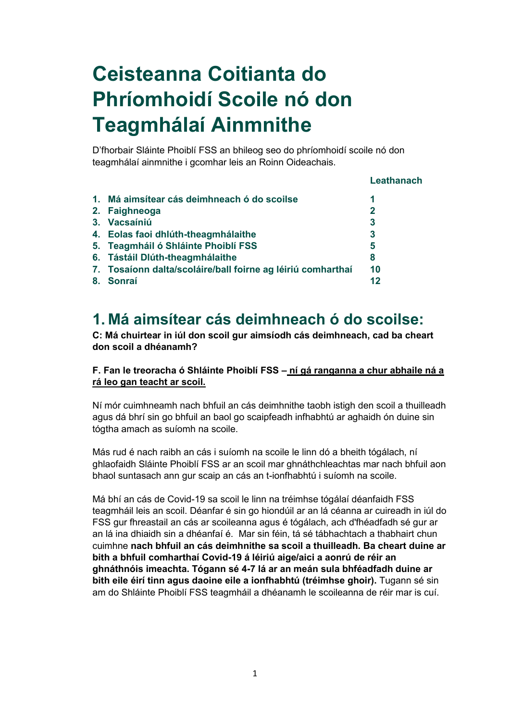# **Ceisteanna Coitianta do Phríomhoidí Scoile nó don Teagmhálaí Ainmnithe**

D'fhorbair Sláinte Phoiblí FSS an bhileog seo do phríomhoidí scoile nó don teagmhálaí ainmnithe i gcomhar leis an Roinn Oideachais.

#### **Leathanach**

| 1. Má aimsítear cás deimhneach ó do scoilse                 | 1            |
|-------------------------------------------------------------|--------------|
| 2. Faighneoga                                               | $\mathbf{2}$ |
| 3. Vacsaíniú                                                | 3            |
| 4. Eolas faoi dhlúth-theagmhálaithe                         | 3            |
| 5. Teagmháil ó Shláinte Phoiblí FSS                         | 5            |
| 6. Tástáil Dlúth-theagmhálaithe                             | 8            |
| 7. Tosaíonn dalta/scoláire/ball foirne ag léiriú comharthaí | 10           |
| 8. Sonraí                                                   | 12           |
|                                                             |              |

### **1. Má aimsítear cás deimhneach ó do scoilse:**

**C: Má chuirtear in iúl don scoil gur aimsíodh cás deimhneach, cad ba cheart don scoil a dhéanamh?**

#### **F. Fan le treoracha ó Shláinte Phoiblí FSS – ní gá ranganna a chur abhaile ná a rá leo gan teacht ar scoil.**

Ní mór cuimhneamh nach bhfuil an cás deimhnithe taobh istigh den scoil a thuilleadh agus dá bhrí sin go bhfuil an baol go scaipfeadh infhabhtú ar aghaidh ón duine sin tógtha amach as suíomh na scoile.

Más rud é nach raibh an cás i suíomh na scoile le linn dó a bheith tógálach, ní ghlaofaidh Sláinte Phoiblí FSS ar an scoil mar ghnáthchleachtas mar nach bhfuil aon bhaol suntasach ann gur scaip an cás an t-ionfhabhtú i suíomh na scoile.

Má bhí an cás de Covid-19 sa scoil le linn na tréimhse tógálaí déanfaidh FSS teagmháil leis an scoil. Déanfar é sin go hiondúil ar an lá céanna ar cuireadh in iúl do FSS gur fhreastail an cás ar scoileanna agus é tógálach, ach d'fhéadfadh sé gur ar an lá ina dhiaidh sin a dhéanfaí é. Mar sin féin, tá sé tábhachtach a thabhairt chun cuimhne **nach bhfuil an cás deimhnithe sa scoil a thuilleadh. Ba cheart duine ar bith a bhfuil comharthaí Covid-19 á léiriú aige/aici a aonrú de réir an ghnáthnóis imeachta. Tógann sé 4-7 lá ar an meán sula bhféadfadh duine ar bith eile éirí tinn agus daoine eile a ionfhabhtú (tréimhse ghoir).** Tugann sé sin am do Shláinte Phoiblí FSS teagmháil a dhéanamh le scoileanna de réir mar is cuí.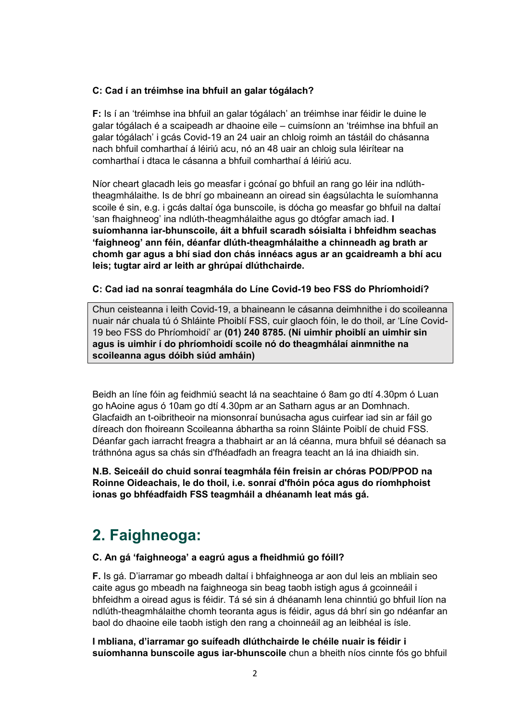#### **C: Cad í an tréimhse ina bhfuil an galar tógálach?**

**F:** Is í an 'tréimhse ina bhfuil an galar tógálach' an tréimhse inar féidir le duine le galar tógálach é a scaipeadh ar dhaoine eile – cuimsíonn an 'tréimhse ina bhfuil an galar tógálach' i gcás Covid-19 an 24 uair an chloig roimh an tástáil do chásanna nach bhfuil comharthaí á léiriú acu, nó an 48 uair an chloig sula léirítear na comharthaí i dtaca le cásanna a bhfuil comharthaí á léiriú acu.

Níor cheart glacadh leis go measfar i gcónaí go bhfuil an rang go léir ina ndlúththeagmhálaithe. Is de bhrí go mbaineann an oiread sin éagsúlachta le suíomhanna scoile é sin, e.g. i gcás daltaí óga bunscoile, is dócha go measfar go bhfuil na daltaí 'san fhaighneog' ina ndlúth-theagmhálaithe agus go dtógfar amach iad. **I suíomhanna iar-bhunscoile, áit a bhfuil scaradh sóisialta i bhfeidhm seachas 'faighneog' ann féin, déanfar dlúth-theagmhálaithe a chinneadh ag brath ar chomh gar agus a bhí siad don chás innéacs agus ar an gcaidreamh a bhí acu leis; tugtar aird ar leith ar ghrúpaí dlúthchairde.**

#### **C: Cad iad na sonraí teagmhála do Líne Covid-19 beo FSS do Phríomhoidí?**

Chun ceisteanna i leith Covid-19, a bhaineann le cásanna deimhnithe i do scoileanna nuair nár chuala tú ó Shláinte Phoiblí FSS, cuir glaoch fóin, le do thoil, ar 'Líne Covid-19 beo FSS do Phríomhoidí' ar **(01) 240 8785. (Ní uimhir phoiblí an uimhir sin agus is uimhir í do phríomhoidí scoile nó do theagmhálaí ainmnithe na scoileanna agus dóibh siúd amháin)** 

Beidh an líne fóin ag feidhmiú seacht lá na seachtaine ó 8am go dtí 4.30pm ó Luan go hAoine agus ó 10am go dtí 4.30pm ar an Satharn agus ar an Domhnach. Glacfaidh an t-oibritheoir na mionsonraí bunúsacha agus cuirfear iad sin ar fáil go díreach don fhoireann Scoileanna ábhartha sa roinn Sláinte Poiblí de chuid FSS. Déanfar gach iarracht freagra a thabhairt ar an lá céanna, mura bhfuil sé déanach sa tráthnóna agus sa chás sin d'fhéadfadh an freagra teacht an lá ina dhiaidh sin.

**N.B. Seiceáil do chuid sonraí teagmhála féin freisin ar chóras POD/PPOD na Roinne Oideachais, le do thoil, i.e. sonraí d'fhóin póca agus do ríomhphoist ionas go bhféadfaidh FSS teagmháil a dhéanamh leat más gá.**

# **2. Faighneoga:**

#### **C. An gá 'faighneoga' a eagrú agus a fheidhmiú go fóill?**

**F.** Is gá. D'iarramar go mbeadh daltaí i bhfaighneoga ar aon dul leis an mbliain seo caite agus go mbeadh na faighneoga sin beag taobh istigh agus á gcoinneáil i bhfeidhm a oiread agus is féidir. Tá sé sin á dhéanamh lena chinntiú go bhfuil líon na ndlúth-theagmhálaithe chomh teoranta agus is féidir, agus dá bhrí sin go ndéanfar an baol do dhaoine eile taobh istigh den rang a choinneáil ag an leibhéal is ísle.

**I mbliana, d'iarramar go suífeadh dlúthchairde le chéile nuair is féidir i suíomhanna bunscoile agus iar-bhunscoile** chun a bheith níos cinnte fós go bhfuil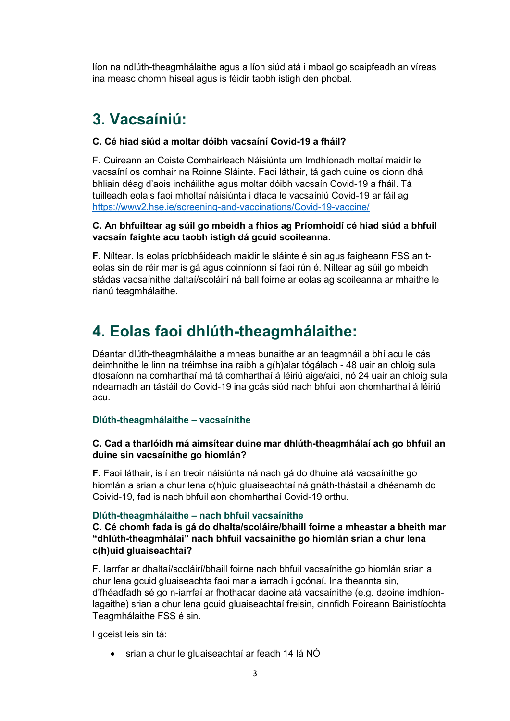líon na ndlúth-theagmhálaithe agus a líon siúd atá i mbaol go scaipfeadh an víreas ina measc chomh híseal agus is féidir taobh istigh den phobal.

# **3. Vacsaíniú:**

#### **C. Cé hiad siúd a moltar dóibh vacsaíní Covid-19 a fháil?**

F. Cuireann an Coiste Comhairleach Náisiúnta um Imdhíonadh moltaí maidir le vacsaíní os comhair na Roinne Sláinte. Faoi láthair, tá gach duine os cionn dhá bhliain déag d'aois incháilithe agus moltar dóibh vacsaín Covid-19 a fháil. Tá tuilleadh eolais faoi mholtaí náisiúnta i dtaca le vacsaíniú Covid-19 ar fáil ag [https://www2.hse.ie/screening-and-vaccinations/Covid-19-vaccine/](https://www2.hse.ie/screening-and-vaccinations/covid-19-vaccine/)

#### **C. An bhfuiltear ag súil go mbeidh a fhios ag Príomhoidí cé hiad siúd a bhfuil vacsaín faighte acu taobh istigh dá gcuid scoileanna.**

**F.** Níltear. Is eolas príobháideach maidir le sláinte é sin agus faigheann FSS an teolas sin de réir mar is gá agus coinníonn sí faoi rún é. Níltear ag súil go mbeidh stádas vacsaínithe daltaí/scoláirí ná ball foirne ar eolas ag scoileanna ar mhaithe le rianú teagmhálaithe.

# **4. Eolas faoi dhlúth-theagmhálaithe:**

Déantar dlúth-theagmhálaithe a mheas bunaithe ar an teagmháil a bhí acu le cás deimhnithe le linn na tréimhse ina raibh a g(h)alar tógálach - 48 uair an chloig sula dtosaíonn na comharthaí má tá comharthaí á léiriú aige/aici, nó 24 uair an chloig sula ndearnadh an tástáil do Covid-19 ina gcás siúd nach bhfuil aon chomharthaí á léiriú acu.

#### **Dlúth-theagmhálaithe – vacsaínithe**

#### **C. Cad a tharlóidh má aimsítear duine mar dhlúth-theagmhálaí ach go bhfuil an duine sin vacsaínithe go hiomlán?**

**F.** Faoi láthair, is í an treoir náisiúnta ná nach gá do dhuine atá vacsaínithe go hiomlán a srian a chur lena c(h)uid gluaiseachtaí ná gnáth-thástáil a dhéanamh do Coivid-19, fad is nach bhfuil aon chomharthaí Covid-19 orthu.

#### **Dlúth-theagmhálaithe – nach bhfuil vacsaínithe**

#### **C. Cé chomh fada is gá do dhalta/scoláire/bhaill foirne a mheastar a bheith mar "dhlúth-theagmhálaí" nach bhfuil vacsaínithe go hiomlán srian a chur lena c(h)uid gluaiseachtaí?**

F. Iarrfar ar dhaltaí/scoláirí/bhaill foirne nach bhfuil vacsaínithe go hiomlán srian a chur lena gcuid gluaiseachta faoi mar a iarradh i gcónaí. Ina theannta sin, d'fhéadfadh sé go n-iarrfaí ar fhothacar daoine atá vacsaínithe (e.g. daoine imdhíonlagaithe) srian a chur lena gcuid gluaiseachtaí freisin, cinnfidh Foireann Bainistíochta Teagmhálaithe FSS é sin.

I gceist leis sin tá:

srian a chur le gluaiseachtaí ar feadh 14 lá NÓ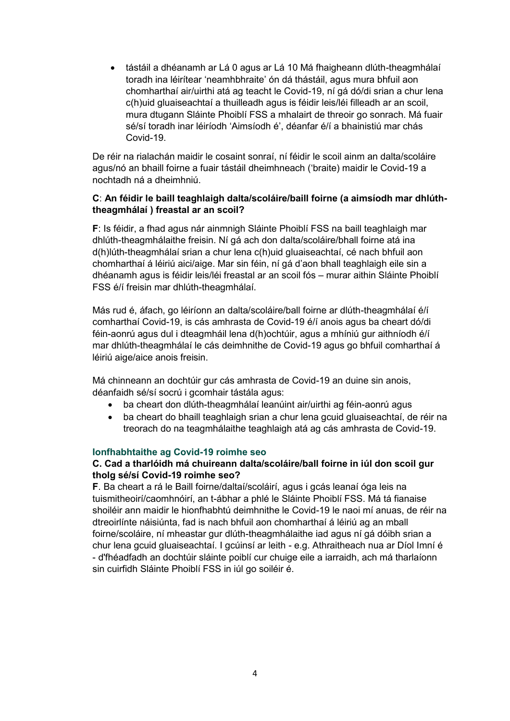tástáil a dhéanamh ar Lá 0 agus ar Lá 10 Má fhaigheann dlúth-theagmhálaí toradh ina léirítear 'neamhbhraite' ón dá thástáil, agus mura bhfuil aon chomharthaí air/uirthi atá ag teacht le Covid-19, ní gá dó/di srian a chur lena c(h)uid gluaiseachtaí a thuilleadh agus is féidir leis/léi filleadh ar an scoil, mura dtugann Sláinte Phoiblí FSS a mhalairt de threoir go sonrach. Má fuair sé/sí toradh inar léiríodh 'Aimsíodh é', déanfar é/í a bhainistiú mar chás Covid-19.

De réir na rialachán maidir le cosaint sonraí, ní féidir le scoil ainm an dalta/scoláire agus/nó an bhaill foirne a fuair tástáil dheimhneach ('braite) maidir le Covid-19 a nochtadh ná a dheimhniú.

#### **C**: **An féidir le baill teaghlaigh dalta/scoláire/baill foirne (a aimsíodh mar dhlúththeagmhálaí ) freastal ar an scoil?**

**F**: Is féidir, a fhad agus nár ainmnigh Sláinte Phoiblí FSS na baill teaghlaigh mar dhlúth-theagmhálaithe freisin. Ní gá ach don dalta/scoláire/bhall foirne atá ina d(h)lúth-theagmhálaí srian a chur lena c(h)uid gluaiseachtaí, cé nach bhfuil aon chomharthaí á léiriú aici/aige. Mar sin féin, ní gá d'aon bhall teaghlaigh eile sin a dhéanamh agus is féidir leis/léi freastal ar an scoil fós – murar aithin Sláinte Phoiblí FSS é/í freisin mar dhlúth-theagmhálaí.

Más rud é, áfach, go léiríonn an dalta/scoláire/ball foirne ar dlúth-theagmhálaí é/í comharthaí Covid-19, is cás amhrasta de Covid-19 é/í anois agus ba cheart dó/di féin-aonrú agus dul i dteagmháil lena d(h)ochtúir, agus a mhíniú gur aithníodh é/í mar dhlúth-theagmhálaí le cás deimhnithe de Covid-19 agus go bhfuil comharthaí á léiriú aige/aice anois freisin.

Má chinneann an dochtúir gur cás amhrasta de Covid-19 an duine sin anois, déanfaidh sé/sí socrú i gcomhair tástála agus:

- ba cheart don dlúth-theagmhálaí leanúint air/uirthi ag féin-aonrú agus
- ba cheart do bhaill teaghlaigh srian a chur lena gcuid gluaiseachtaí, de réir na treorach do na teagmhálaithe teaghlaigh atá ag cás amhrasta de Covid-19.

#### **Ionfhabhtaithe ag Covid-19 roimhe seo**

#### **C. Cad a tharlóidh má chuireann dalta/scoláire/ball foirne in iúl don scoil gur tholg sé/sí Covid-19 roimhe seo?**

**F**. Ba cheart a rá le Baill foirne/daltaí/scoláirí, agus i gcás leanaí óga leis na tuismitheoirí/caomhnóirí, an t-ábhar a phlé le Sláinte Phoiblí FSS. Má tá fianaise shoiléir ann maidir le hionfhabhtú deimhnithe le Covid-19 le naoi mí anuas, de réir na dtreoirlínte náisiúnta, fad is nach bhfuil aon chomharthaí á léiriú ag an mball foirne/scoláire, ní mheastar gur dlúth-theagmhálaithe iad agus ní gá dóibh srian a chur lena gcuid gluaiseachtaí. I gcúinsí ar leith - e.g. Athraitheach nua ar Díol Imní é - d'fhéadfadh an dochtúir sláinte poiblí cur chuige eile a iarraidh, ach má tharlaíonn sin cuirfidh Sláinte Phoiblí FSS in iúl go soiléir é.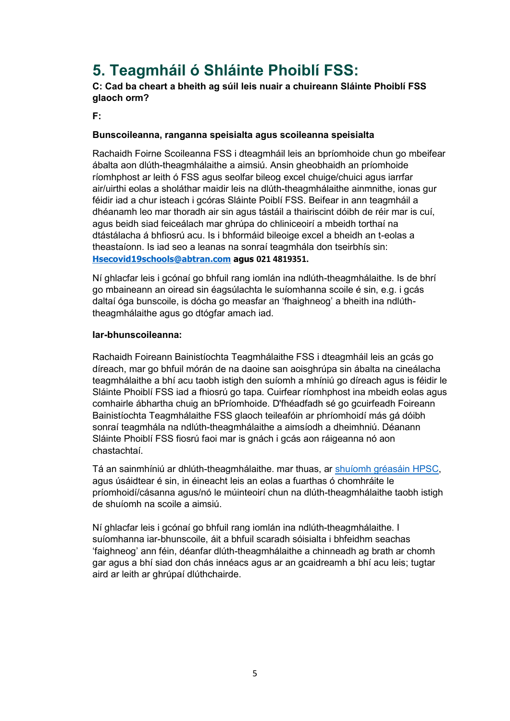# **5. Teagmháil ó Shláinte Phoiblí FSS:**

**C: Cad ba cheart a bheith ag súil leis nuair a chuireann Sláinte Phoiblí FSS glaoch orm?**

**F:**

#### **Bunscoileanna, ranganna speisialta agus scoileanna speisialta**

Rachaidh Foirne Scoileanna FSS i dteagmháil leis an bpríomhoide chun go mbeifear ábalta aon dlúth-theagmhálaithe a aimsiú. Ansin gheobhaidh an príomhoide ríomhphost ar leith ó FSS agus seolfar bileog excel chuige/chuici agus iarrfar air/uirthi eolas a sholáthar maidir leis na dlúth-theagmhálaithe ainmnithe, ionas gur féidir iad a chur isteach i gcóras Sláinte Poiblí FSS. Beifear in ann teagmháil a dhéanamh leo mar thoradh air sin agus tástáil a thairiscint dóibh de réir mar is cuí, agus beidh siad feiceálach mar ghrúpa do chliniceoirí a mbeidh torthaí na dtástálacha á bhfiosrú acu. Is i bhformáid bileoige excel a bheidh an t-eolas a theastaíonn. Is iad seo a leanas na sonraí teagmhála don tseirbhís sin: **[Hsecovid19schools@abtran.com](mailto:Hsecovid19schools@abtran.com) agus 021 4819351.** 

Ní ghlacfar leis i gcónaí go bhfuil rang iomlán ina ndlúth-theagmhálaithe. Is de bhrí go mbaineann an oiread sin éagsúlachta le suíomhanna scoile é sin, e.g. i gcás daltaí óga bunscoile, is dócha go measfar an 'fhaighneog' a bheith ina ndlúththeagmhálaithe agus go dtógfar amach iad.

#### **Iar-bhunscoileanna:**

Rachaidh Foireann Bainistíochta Teagmhálaithe FSS i dteagmháil leis an gcás go díreach, mar go bhfuil mórán de na daoine san aoisghrúpa sin ábalta na cineálacha teagmhálaithe a bhí acu taobh istigh den suíomh a mhíniú go díreach agus is féidir le Sláinte Phoiblí FSS iad a fhiosrú go tapa. Cuirfear ríomhphost ina mbeidh eolas agus comhairle ábhartha chuig an bPríomhoide. D'fhéadfadh sé go gcuirfeadh Foireann Bainistíochta Teagmhálaithe FSS glaoch teileafóin ar phríomhoidí más gá dóibh sonraí teagmhála na ndlúth-theagmhálaithe a aimsíodh a dheimhniú. Déanann Sláinte Phoiblí FSS fiosrú faoi mar is gnách i gcás aon ráigeanna nó aon chastachtaí.

Tá an sainmhíniú ar dhlúth-theagmhálaithe. mar thuas, ar [shuíomh gréasáin HPSC,](https://www.hpsc.ie/a-z/respiratory/coronavirus/novelcoronavirus/casedefinitions/covid-19educationalsettingscasesandclosecontactsdefinitions/#:~:text=Close%20contacts%20definition%3A,minutes%20in%20a%20school%20day.) agus úsáidtear é sin, in éineacht leis an eolas a fuarthas ó chomhráite le príomhoidí/cásanna agus/nó le múinteoirí chun na dlúth-theagmhálaithe taobh istigh de shuíomh na scoile a aimsiú.

Ní ghlacfar leis i gcónaí go bhfuil rang iomlán ina ndlúth-theagmhálaithe. I suíomhanna iar-bhunscoile, áit a bhfuil scaradh sóisialta i bhfeidhm seachas 'faighneog' ann féin, déanfar dlúth-theagmhálaithe a chinneadh ag brath ar chomh gar agus a bhí siad don chás innéacs agus ar an gcaidreamh a bhí acu leis; tugtar aird ar leith ar ghrúpaí dlúthchairde.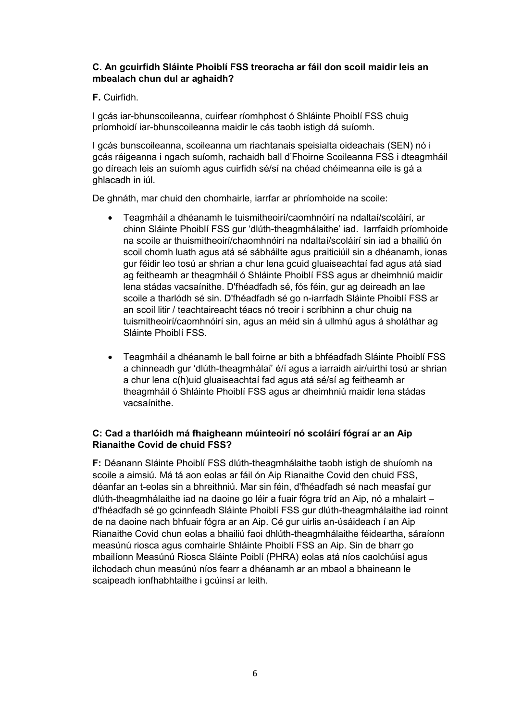#### **C. An gcuirfidh Sláinte Phoiblí FSS treoracha ar fáil don scoil maidir leis an mbealach chun dul ar aghaidh?**

#### **F.** Cuirfidh.

I gcás iar-bhunscoileanna, cuirfear ríomhphost ó Shláinte Phoiblí FSS chuig príomhoidí iar-bhunscoileanna maidir le cás taobh istigh dá suíomh.

I gcás bunscoileanna, scoileanna um riachtanais speisialta oideachais (SEN) nó i gcás ráigeanna i ngach suíomh, rachaidh ball d'Fhoirne Scoileanna FSS i dteagmháil go díreach leis an suíomh agus cuirfidh sé/sí na chéad chéimeanna eile is gá a ghlacadh in iúl.

De ghnáth, mar chuid den chomhairle, iarrfar ar phríomhoide na scoile:

- Teagmháil a dhéanamh le tuismitheoirí/caomhnóirí na ndaltaí/scoláirí, ar chinn Sláinte Phoiblí FSS gur 'dlúth-theagmhálaithe' iad. Iarrfaidh príomhoide na scoile ar thuismitheoirí/chaomhnóirí na ndaltaí/scoláirí sin iad a bhailiú ón scoil chomh luath agus atá sé sábháilte agus praiticiúil sin a dhéanamh, ionas gur féidir leo tosú ar shrian a chur lena gcuid gluaiseachtaí fad agus atá siad ag feitheamh ar theagmháil ó Shláinte Phoiblí FSS agus ar dheimhniú maidir lena stádas vacsaínithe. D'fhéadfadh sé, fós féin, gur ag deireadh an lae scoile a tharlódh sé sin. D'fhéadfadh sé go n-iarrfadh Sláinte Phoiblí FSS ar an scoil litir / teachtaireacht téacs nó treoir i scríbhinn a chur chuig na tuismitheoirí/caomhnóirí sin, agus an méid sin á ullmhú agus á sholáthar ag Sláinte Phoiblí FSS.
- Teagmháil a dhéanamh le ball foirne ar bith a bhféadfadh Sláinte Phoiblí FSS a chinneadh gur 'dlúth-theagmhálaí' é/í agus a iarraidh air/uirthi tosú ar shrian a chur lena c(h)uid gluaiseachtaí fad agus atá sé/sí ag feitheamh ar theagmháil ó Shláinte Phoiblí FSS agus ar dheimhniú maidir lena stádas vacsaínithe.

#### **C: Cad a tharlóidh má fhaigheann múinteoirí nó scoláirí fógraí ar an Aip Rianaithe Covid de chuid FSS?**

**F:** Déanann Sláinte Phoiblí FSS dlúth-theagmhálaithe taobh istigh de shuíomh na scoile a aimsiú. Má tá aon eolas ar fáil ón Aip Rianaithe Covid den chuid FSS, déanfar an t-eolas sin a bhreithniú. Mar sin féin, d'fhéadfadh sé nach measfaí gur dlúth-theagmhálaithe iad na daoine go léir a fuair fógra tríd an Aip, nó a mhalairt – d'fhéadfadh sé go gcinnfeadh Sláinte Phoiblí FSS gur dlúth-theagmhálaithe iad roinnt de na daoine nach bhfuair fógra ar an Aip. Cé gur uirlis an-úsáideach í an Aip Rianaithe Covid chun eolas a bhailiú faoi dhlúth-theagmhálaithe féideartha, sáraíonn measúnú riosca agus comhairle Shláinte Phoiblí FSS an Aip. Sin de bharr go mbailíonn Measúnú Riosca Sláinte Poiblí (PHRA) eolas atá níos caolchúisí agus ilchodach chun measúnú níos fearr a dhéanamh ar an mbaol a bhaineann le scaipeadh ionfhabhtaithe i gcúinsí ar leith.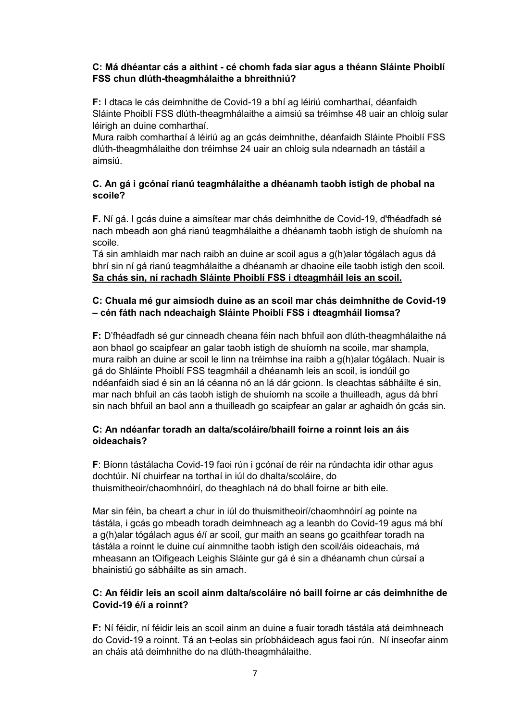#### **C: Má dhéantar cás a aithint - cé chomh fada siar agus a théann Sláinte Phoiblí FSS chun dlúth-theagmhálaithe a bhreithniú?**

**F:** I dtaca le cás deimhnithe de Covid-19 a bhí ag léiriú comharthaí, déanfaidh Sláinte Phoiblí FSS dlúth-theagmhálaithe a aimsiú sa tréimhse 48 uair an chloig sular léirigh an duine comharthaí.

Mura raibh comharthaí á léiriú ag an gcás deimhnithe, déanfaidh Sláinte Phoiblí FSS dlúth-theagmhálaithe don tréimhse 24 uair an chloig sula ndearnadh an tástáil a aimsiú.

#### **C. An gá i gcónaí rianú teagmhálaithe a dhéanamh taobh istigh de phobal na scoile?**

**F.** Ní gá. I gcás duine a aimsítear mar chás deimhnithe de Covid-19, d'fhéadfadh sé nach mbeadh aon ghá rianú teagmhálaithe a dhéanamh taobh istigh de shuíomh na scoile.

Tá sin amhlaidh mar nach raibh an duine ar scoil agus a g(h)alar tógálach agus dá bhrí sin ní gá rianú teagmhálaithe a dhéanamh ar dhaoine eile taobh istigh den scoil. **Sa chás sin, ní rachadh Sláinte Phoiblí FSS i dteagmháil leis an scoil.** 

#### **C: Chuala mé gur aimsíodh duine as an scoil mar chás deimhnithe de Covid-19 – cén fáth nach ndeachaigh Sláinte Phoiblí FSS i dteagmháil liomsa?**

**F:** D'fhéadfadh sé gur cinneadh cheana féin nach bhfuil aon dlúth-theagmhálaithe ná aon bhaol go scaipfear an galar taobh istigh de shuíomh na scoile, mar shampla, mura raibh an duine ar scoil le linn na tréimhse ina raibh a g(h)alar tógálach. Nuair is gá do Shláinte Phoiblí FSS teagmháil a dhéanamh leis an scoil, is iondúil go ndéanfaidh siad é sin an lá céanna nó an lá dár gcionn. Is cleachtas sábháilte é sin, mar nach bhfuil an cás taobh istigh de shuíomh na scoile a thuilleadh, agus dá bhrí sin nach bhfuil an baol ann a thuilleadh go scaipfear an galar ar aghaidh ón gcás sin.

#### **C: An ndéanfar toradh an dalta/scoláire/bhaill foirne a roinnt leis an áis oideachais?**

**F**: Bíonn tástálacha Covid-19 faoi rún i gcónaí de réir na rúndachta idir othar agus dochtúir. Ní chuirfear na torthaí in iúl do dhalta/scoláire, do thuismitheoir/chaomhnóirí, do theaghlach ná do bhall foirne ar bith eile.

Mar sin féin, ba cheart a chur in iúl do thuismitheoirí/chaomhnóirí ag pointe na tástála, i gcás go mbeadh toradh deimhneach ag a leanbh do Covid-19 agus má bhí a g(h)alar tógálach agus é/í ar scoil, gur maith an seans go gcaithfear toradh na tástála a roinnt le duine cuí ainmnithe taobh istigh den scoil/áis oideachais, má mheasann an tOifigeach Leighis Sláinte gur gá é sin a dhéanamh chun cúrsaí a bhainistiú go sábháilte as sin amach.

#### **C: An féidir leis an scoil ainm dalta/scoláire nó baill foirne ar cás deimhnithe de Covid-19 é/í a roinnt?**

**F:** Ní féidir, ní féidir leis an scoil ainm an duine a fuair toradh tástála atá deimhneach do Covid-19 a roinnt. Tá an t-eolas sin príobháideach agus faoi rún. Ní inseofar ainm an cháis atá deimhnithe do na dlúth-theagmhálaithe.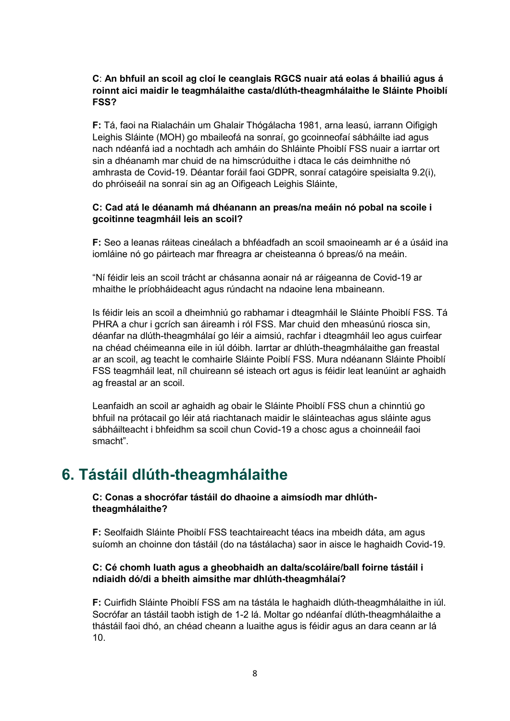#### **C**: **An bhfuil an scoil ag cloí le ceanglais RGCS nuair atá eolas á bhailiú agus á roinnt aici maidir le teagmhálaithe casta/dlúth-theagmhálaithe le Sláinte Phoiblí FSS?**

**F:** Tá, faoi na Rialacháin um Ghalair Thógálacha 1981, arna leasú, iarrann Oifigigh Leighis Sláinte (MOH) go mbaileofá na sonraí, go gcoinneofaí sábháilte iad agus nach ndéanfá iad a nochtadh ach amháin do Shláinte Phoiblí FSS nuair a iarrtar ort sin a dhéanamh mar chuid de na himscrúduithe i dtaca le cás deimhnithe nó amhrasta de Covid-19. Déantar foráil faoi GDPR, sonraí catagóire speisialta 9.2(i), do phróiseáil na sonraí sin ag an Oifigeach Leighis Sláinte,

#### **C: Cad atá le déanamh má dhéanann an preas/na meáin nó pobal na scoile i gcoitinne teagmháil leis an scoil?**

**F:** Seo a leanas ráiteas cineálach a bhféadfadh an scoil smaoineamh ar é a úsáid ina iomláine nó go páirteach mar fhreagra ar cheisteanna ó bpreas/ó na meáin.

"Ní féidir leis an scoil trácht ar chásanna aonair ná ar ráigeanna de Covid-19 ar mhaithe le príobháideacht agus rúndacht na ndaoine lena mbaineann.

Is féidir leis an scoil a dheimhniú go rabhamar i dteagmháil le Sláinte Phoiblí FSS. Tá PHRA a chur i gcrích san áireamh i ról FSS. Mar chuid den mheasúnú riosca sin, déanfar na dlúth-theagmhálaí go léir a aimsiú, rachfar i dteagmháil leo agus cuirfear na chéad chéimeanna eile in iúl dóibh. Iarrtar ar dhlúth-theagmhálaithe gan freastal ar an scoil, ag teacht le comhairle Sláinte Poiblí FSS. Mura ndéanann Sláinte Phoiblí FSS teagmháil leat, níl chuireann sé isteach ort agus is féidir leat leanúint ar aghaidh ag freastal ar an scoil.

Leanfaidh an scoil ar aghaidh ag obair le Sláinte Phoiblí FSS chun a chinntiú go bhfuil na prótacail go léir atá riachtanach maidir le sláinteachas agus sláinte agus sábháilteacht i bhfeidhm sa scoil chun Covid-19 a chosc agus a choinneáil faoi smacht".

## **6. Tástáil dlúth-theagmhálaithe**

#### **C: Conas a shocrófar tástáil do dhaoine a aimsíodh mar dhlúththeagmhálaithe?**

**F:** Seolfaidh Sláinte Phoiblí FSS teachtaireacht téacs ina mbeidh dáta, am agus suíomh an choinne don tástáil (do na tástálacha) saor in aisce le haghaidh Covid-19.

#### **C: Cé chomh luath agus a gheobhaidh an dalta/scoláire/ball foirne tástáil i ndiaidh dó/di a bheith aimsithe mar dhlúth-theagmhálaí?**

**F:** Cuirfidh Sláinte Phoiblí FSS am na tástála le haghaidh dlúth-theagmhálaithe in iúl. Socrófar an tástáil taobh istigh de 1-2 lá. Moltar go ndéanfaí dlúth-theagmhálaithe a thástáil faoi dhó, an chéad cheann a luaithe agus is féidir agus an dara ceann ar lá 10.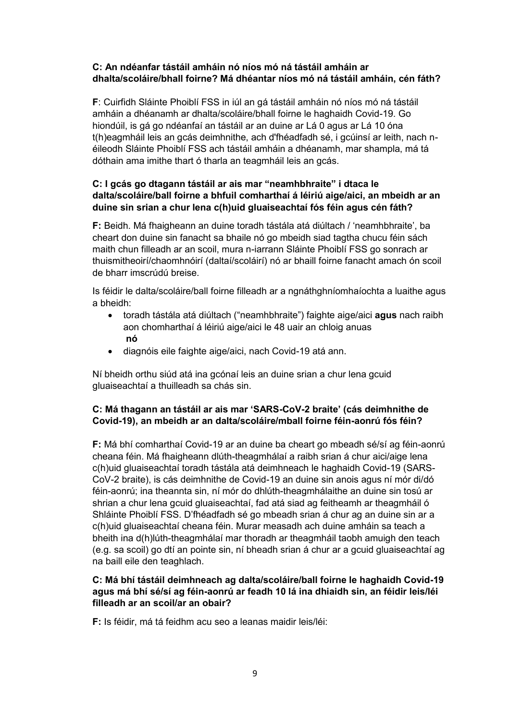#### **C: An ndéanfar tástáil amháin nó níos mó ná tástáil amháin ar dhalta/scoláire/bhall foirne? Má dhéantar níos mó ná tástáil amháin, cén fáth?**

**F**: Cuirfidh Sláinte Phoiblí FSS in iúl an gá tástáil amháin nó níos mó ná tástáil amháin a dhéanamh ar dhalta/scoláire/bhall foirne le haghaidh Covid-19. Go hiondúil, is gá go ndéanfaí an tástáil ar an duine ar Lá 0 agus ar Lá 10 óna t(h)eagmháil leis an gcás deimhnithe, ach d'fhéadfadh sé, i gcúinsí ar leith, nach néileodh Sláinte Phoiblí FSS ach tástáil amháin a dhéanamh, mar shampla, má tá dóthain ama imithe thart ó tharla an teagmháil leis an gcás.

#### **C: I gcás go dtagann tástáil ar ais mar "neamhbhraite" i dtaca le dalta/scoláire/ball foirne a bhfuil comharthaí á léiriú aige/aici, an mbeidh ar an duine sin srian a chur lena c(h)uid gluaiseachtaí fós féin agus cén fáth?**

**F:** Beidh. Má fhaigheann an duine toradh tástála atá diúltach / 'neamhbhraite', ba cheart don duine sin fanacht sa bhaile nó go mbeidh siad tagtha chucu féin sách maith chun filleadh ar an scoil, mura n-iarrann Sláinte Phoiblí FSS go sonrach ar thuismitheoirí/chaomhnóirí (daltaí/scoláirí) nó ar bhaill foirne fanacht amach ón scoil de bharr imscrúdú breise.

Is féidir le dalta/scoláire/ball foirne filleadh ar a ngnáthghníomhaíochta a luaithe agus a bheidh:

- toradh tástála atá diúltach ("neamhbhraite") faighte aige/aici **agus** nach raibh aon chomharthaí á léiriú aige/aici le 48 uair an chloig anuas **nó**
- diagnóis eile faighte aige/aici, nach Covid-19 atá ann.

Ní bheidh orthu siúd atá ina gcónaí leis an duine srian a chur lena gcuid gluaiseachtaí a thuilleadh sa chás sin.

#### **C: Má thagann an tástáil ar ais mar 'SARS-CoV-2 braite' (cás deimhnithe de Covid-19), an mbeidh ar an dalta/scoláire/mball foirne féin-aonrú fós féin?**

**F:** Má bhí comharthaí Covid-19 ar an duine ba cheart go mbeadh sé/sí ag féin-aonrú cheana féin. Má fhaigheann dlúth-theagmhálaí a raibh srian á chur aici/aige lena c(h)uid gluaiseachtaí toradh tástála atá deimhneach le haghaidh Covid-19 (SARS-CoV-2 braite), is cás deimhnithe de Covid-19 an duine sin anois agus ní mór di/dó féin-aonrú; ina theannta sin, ní mór do dhlúth-theagmhálaithe an duine sin tosú ar shrian a chur lena gcuid gluaiseachtaí, fad atá siad ag feitheamh ar theagmháil ó Shláinte Phoiblí FSS. D'fhéadfadh sé go mbeadh srian á chur ag an duine sin ar a c(h)uid gluaiseachtaí cheana féin. Murar measadh ach duine amháin sa teach a bheith ina d(h)lúth-theagmhálaí mar thoradh ar theagmháil taobh amuigh den teach (e.g. sa scoil) go dtí an pointe sin, ní bheadh srian á chur ar a gcuid gluaiseachtaí ag na baill eile den teaghlach.

#### **C: Má bhí tástáil deimhneach ag dalta/scoláire/ball foirne le haghaidh Covid-19 agus má bhí sé/sí ag féin-aonrú ar feadh 10 lá ina dhiaidh sin, an féidir leis/léi filleadh ar an scoil/ar an obair?**

**F:** Is féidir, má tá feidhm acu seo a leanas maidir leis/léi: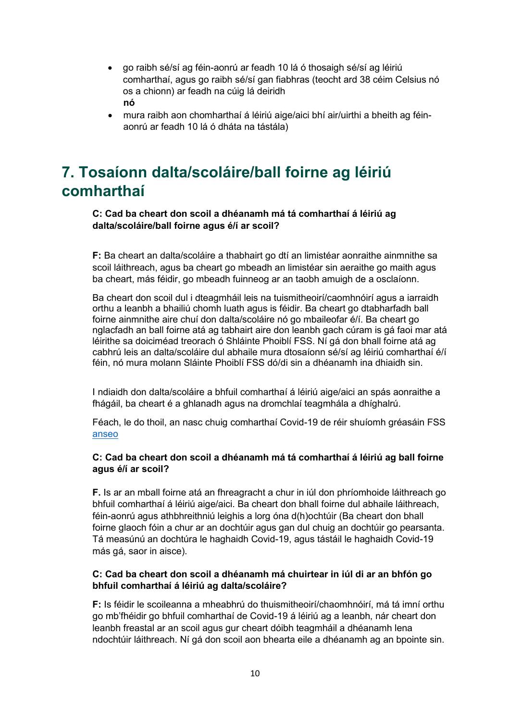- go raibh sé/sí ag féin-aonrú ar feadh 10 lá ó thosaigh sé/sí ag léiriú comharthaí, agus go raibh sé/sí gan fiabhras (teocht ard 38 céim Celsius nó os a chionn) ar feadh na cúig lá deiridh **nó**
- mura raibh aon chomharthaí á léiriú aige/aici bhí air/uirthi a bheith ag féinaonrú ar feadh 10 lá ó dháta na tástála)

# **7. Tosaíonn dalta/scoláire/ball foirne ag léiriú comharthaí**

#### **C: Cad ba cheart don scoil a dhéanamh má tá comharthaí á léiriú ag dalta/scoláire/ball foirne agus é/í ar scoil?**

**F:** Ba cheart an dalta/scoláire a thabhairt go dtí an limistéar aonraithe ainmnithe sa scoil láithreach, agus ba cheart go mbeadh an limistéar sin aeraithe go maith agus ba cheart, más féidir, go mbeadh fuinneog ar an taobh amuigh de a osclaíonn.

Ba cheart don scoil dul i dteagmháil leis na tuismitheoirí/caomhnóirí agus a iarraidh orthu a leanbh a bhailiú chomh luath agus is féidir. Ba cheart go dtabharfadh ball foirne ainmnithe aire chuí don dalta/scoláire nó go mbaileofar é/í. Ba cheart go nglacfadh an ball foirne atá ag tabhairt aire don leanbh gach cúram is gá faoi mar atá léirithe sa doiciméad treorach ó Shláinte Phoiblí FSS. Ní gá don bhall foirne atá ag cabhrú leis an dalta/scoláire dul abhaile mura dtosaíonn sé/sí ag léiriú comharthaí é/í féin, nó mura molann Sláinte Phoiblí FSS dó/di sin a dhéanamh ina dhiaidh sin.

I ndiaidh don dalta/scoláire a bhfuil comharthaí á léiriú aige/aici an spás aonraithe a fhágáil, ba cheart é a ghlanadh agus na dromchlaí teagmhála a dhíghalrú.

Féach, le do thoil, an nasc chuig comharthaí Covid-19 de réir shuíomh gréasáin FSS [anseo](https://www2.hse.ie/conditions/covid19/symptoms/overview/)

#### **C: Cad ba cheart don scoil a dhéanamh má tá comharthaí á léiriú ag ball foirne agus é/í ar scoil?**

**F.** Is ar an mball foirne atá an fhreagracht a chur in iúl don phríomhoide láithreach go bhfuil comharthaí á léiriú aige/aici. Ba cheart don bhall foirne dul abhaile láithreach, féin-aonrú agus athbhreithniú leighis a lorg óna d(h)ochtúir (Ba cheart don bhall foirne glaoch fóin a chur ar an dochtúir agus gan dul chuig an dochtúir go pearsanta. Tá measúnú an dochtúra le haghaidh Covid-19, agus tástáil le haghaidh Covid-19 más gá, saor in aisce).

#### **C: Cad ba cheart don scoil a dhéanamh má chuirtear in iúl di ar an bhfón go bhfuil comharthaí á léiriú ag dalta/scoláire?**

**F:** Is féidir le scoileanna a mheabhrú do thuismitheoirí/chaomhnóirí, má tá imní orthu go mb'fhéidir go bhfuil comharthaí de Covid-19 á léiriú ag a leanbh, nár cheart don leanbh freastal ar an scoil agus gur cheart dóibh teagmháil a dhéanamh lena ndochtúir láithreach. Ní gá don scoil aon bhearta eile a dhéanamh ag an bpointe sin.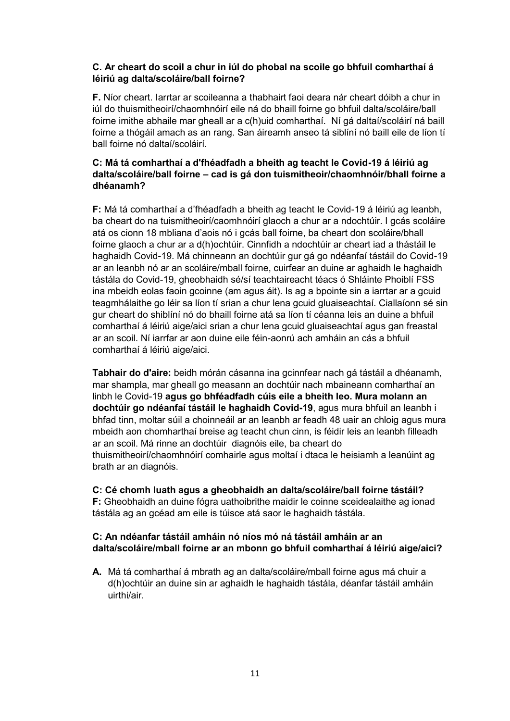#### **C. Ar cheart do scoil a chur in iúl do phobal na scoile go bhfuil comharthaí á léiriú ag dalta/scoláire/ball foirne?**

**F.** Níor cheart. Iarrtar ar scoileanna a thabhairt faoi deara nár cheart dóibh a chur in iúl do thuismitheoirí/chaomhnóirí eile ná do bhaill foirne go bhfuil dalta/scoláire/ball foirne imithe abhaile mar gheall ar a c(h)uid comharthaí. Ní gá daltaí/scoláirí ná baill foirne a thógáil amach as an rang. San áireamh anseo tá siblíní nó baill eile de líon tí ball foirne nó daltaí/scoláirí.

#### **C: Má tá comharthaí a d'fhéadfadh a bheith ag teacht le Covid-19 á léiriú ag dalta/scoláire/ball foirne – cad is gá don tuismitheoir/chaomhnóir/bhall foirne a dhéanamh?**

**F:** Má tá comharthaí a d'fhéadfadh a bheith ag teacht le Covid-19 á léiriú ag leanbh, ba cheart do na tuismitheoirí/caomhnóirí glaoch a chur ar a ndochtúir. I gcás scoláire atá os cionn 18 mbliana d'aois nó i gcás ball foirne, ba cheart don scoláire/bhall foirne glaoch a chur ar a d(h)ochtúir. Cinnfidh a ndochtúir ar cheart iad a thástáil le haghaidh Covid-19. Má chinneann an dochtúir gur gá go ndéanfaí tástáil do Covid-19 ar an leanbh nó ar an scoláire/mball foirne, cuirfear an duine ar aghaidh le haghaidh tástála do Covid-19, gheobhaidh sé/sí teachtaireacht téacs ó Shláinte Phoiblí FSS ina mbeidh eolas faoin gcoinne (am agus áit). Is ag a bpointe sin a iarrtar ar a gcuid teagmhálaithe go léir sa líon tí srian a chur lena gcuid gluaiseachtaí. Ciallaíonn sé sin gur cheart do shiblíní nó do bhaill foirne atá sa líon tí céanna leis an duine a bhfuil comharthaí á léiriú aige/aici srian a chur lena gcuid gluaiseachtaí agus gan freastal ar an scoil. Ní iarrfar ar aon duine eile féin-aonrú ach amháin an cás a bhfuil comharthaí á léiriú aige/aici.

**Tabhair do d'aire:** beidh mórán cásanna ina gcinnfear nach gá tástáil a dhéanamh, mar shampla, mar gheall go measann an dochtúir nach mbaineann comharthaí an linbh le Covid-19 **agus go bhféadfadh cúis eile a bheith leo. Mura molann an dochtúir go ndéanfaí tástáil le haghaidh Covid-19**, agus mura bhfuil an leanbh i bhfad tinn, moltar súil a choinneáil ar an leanbh ar feadh 48 uair an chloig agus mura mbeidh aon chomharthaí breise ag teacht chun cinn, is féidir leis an leanbh filleadh ar an scoil. Má rinne an dochtúir diagnóis eile, ba cheart do thuismitheoirí/chaomhnóirí comhairle agus moltaí i dtaca le heisiamh a leanúint ag brath ar an diagnóis.

#### **C: Cé chomh luath agus a gheobhaidh an dalta/scoláire/ball foirne tástáil? F:** Gheobhaidh an duine fógra uathoibrithe maidir le coinne sceidealaithe ag ionad

tástála ag an gcéad am eile is túisce atá saor le haghaidh tástála.

#### **C: An ndéanfar tástáil amháin nó níos mó ná tástáil amháin ar an dalta/scoláire/mball foirne ar an mbonn go bhfuil comharthaí á léiriú aige/aici?**

**A.** Má tá comharthaí á mbrath ag an dalta/scoláire/mball foirne agus má chuir a d(h)ochtúir an duine sin ar aghaidh le haghaidh tástála, déanfar tástáil amháin uirthi/air.